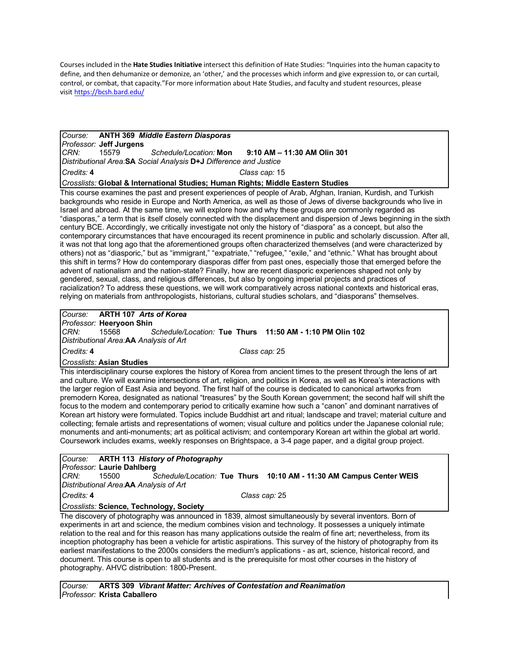Courses included in the **Hate Studies Initiative** intersect this definition of Hate Studies: "Inquiries into the human capacity to define, and then dehumanize or demonize, an 'other,' and the processes which inform and give expression to, or can curtail, control, or combat, that capacity."For more information about Hate Studies, and faculty and student resources, please visit https://bcsh.bard.edu/

#### *Course:* **ANTH 369** *Middle Eastern Diasporas Professor:* **Jeff Jurgens** *CRN:* 15579 *Schedule/Location:* **Mon 9:10 AM – 11:30 AM Olin 301** *Distributional Area:***SA** *Social Analysis* **D+J** *Difference and Justice*

*Credits:* **4** *Class cap:* 15

### *Crosslists:* **Global & International Studies; Human Rights; Middle Eastern Studies**

This course examines the past and present experiences of people of Arab, Afghan, Iranian, Kurdish, and Turkish backgrounds who reside in Europe and North America, as well as those of Jews of diverse backgrounds who live in Israel and abroad. At the same time, we will explore how and why these groups are commonly regarded as "diasporas," a term that is itself closely connected with the displacement and dispersion of Jews beginning in the sixth century BCE. Accordingly, we critically investigate not only the history of "diaspora" as a concept, but also the contemporary circumstances that have encouraged its recent prominence in public and scholarly discussion. After all, it was not that long ago that the aforementioned groups often characterized themselves (and were characterized by others) not as "diasporic," but as "immigrant," "expatriate," "refugee," "exile," and "ethnic." What has brought about this shift in terms? How do contemporary diasporas differ from past ones, especially those that emerged before the advent of nationalism and the nation-state? Finally, how are recent diasporic experiences shaped not only by gendered, sexual, class, and religious differences, but also by ongoing imperial projects and practices of racialization? To address these questions, we will work comparatively across national contexts and historical eras, relying on materials from anthropologists, historians, cultural studies scholars, and "diasporans" themselves.

# *Course:* **ARTH 107** *Arts of Korea*

*Professor:* **Heeryoon Shin** *CRN:* 15568 *Schedule/Location:* **Tue Thurs 11:50 AM - 1:10 PM Olin 102** *Distributional Area:***AA** *Analysis of Art*

*Credits:* **4** *Class cap:* 25

### *Crosslists:* **Asian Studies**

This interdisciplinary course explores the history of Korea from ancient times to the present through the lens of art and culture. We will examine intersections of art, religion, and politics in Korea, as well as Korea's interactions with the larger region of East Asia and beyond. The first half of the course is dedicated to canonical artworks from premodern Korea, designated as national "treasures" by the South Korean government; the second half will shift the focus to the modern and contemporary period to critically examine how such a "canon" and dominant narratives of Korean art history were formulated. Topics include Buddhist art and ritual; landscape and travel; material culture and collecting; female artists and representations of women; visual culture and politics under the Japanese colonial rule; monuments and anti-monuments; art as political activism; and contemporary Korean art within the global art world. Coursework includes exams, weekly responses on Brightspace, a 3-4 page paper, and a digital group project.

## *Course:* **ARTH 113** *History of Photography*

*Professor:* **Laurie Dahlberg**

*CRN:* 15500 *Schedule/Location:* **Tue Thurs 10:10 AM - 11:30 AM Campus Center WEIS** *Distributional Area:***AA** *Analysis of Art*

*Credits:* **4** *Class cap:* 25

### *Crosslists:* **Science, Technology, Society**

The discovery of photography was announced in 1839, almost simultaneously by several inventors. Born of experiments in art and science, the medium combines vision and technology. It possesses a uniquely intimate relation to the real and for this reason has many applications outside the realm of fine art; nevertheless, from its inception photography has been a vehicle for artistic aspirations. This survey of the history of photography from its earliest manifestations to the 2000s considers the medium's applications - as art, science, historical record, and document. This course is open to all students and is the prerequisite for most other courses in the history of photography. AHVC distribution: 1800-Present.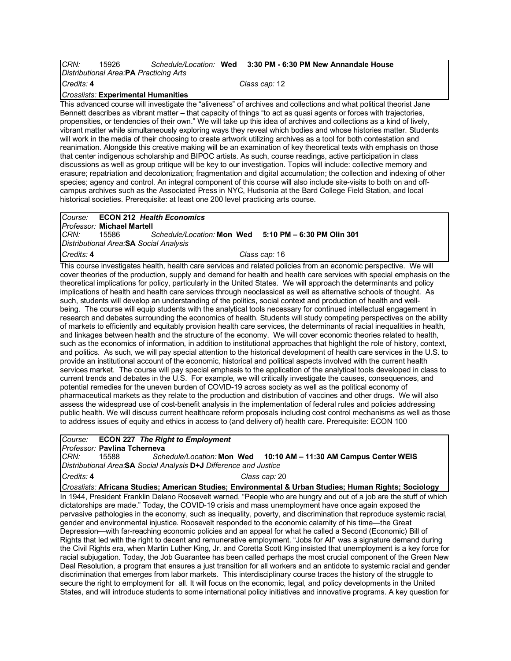### *CRN:* 15926 *Schedule/Location:* **Wed 3:30 PM - 6:30 PM New Annandale House** *Distributional Area:***PA** *Practicing Arts Credits:* **4** *Class cap:* 12

*Crosslists:* **Experimental Humanities**

This advanced course will investigate the "aliveness" of archives and collections and what political theorist Jane Bennett describes as vibrant matter – that capacity of things "to act as quasi agents or forces with trajectories, propensities, or tendencies of their own." We will take up this idea of archives and collections as a kind of lively, vibrant matter while simultaneously exploring ways they reveal which bodies and whose histories matter. Students will work in the media of their choosing to create artwork utilizing archives as a tool for both contestation and reanimation. Alongside this creative making will be an examination of key theoretical texts with emphasis on those that center indigenous scholarship and BIPOC artists. As such, course readings, active participation in class discussions as well as group critique will be key to our investigation. Topics will include: collective memory and erasure; repatriation and decolonization; fragmentation and digital accumulation; the collection and indexing of other species; agency and control. An integral component of this course will also include site-visits to both on and offcampus archives such as the Associated Press in NYC, Hudsonia at the Bard College Field Station, and local historical societies. Prerequisite: at least one 200 level practicing arts course.

|                                                                                                                   |                                      | <b>ICourse: ECON 212 Health Economics</b> |  |                                                       |  |
|-------------------------------------------------------------------------------------------------------------------|--------------------------------------|-------------------------------------------|--|-------------------------------------------------------|--|
|                                                                                                                   | I <i>Professor: M</i> ichael Martell |                                           |  |                                                       |  |
| ICRN:                                                                                                             | 15586                                |                                           |  | Schedule/Location: Mon Wed 5:10 PM - 6:30 PM Olin 301 |  |
|                                                                                                                   |                                      | Distributional Area. SA Social Analysis   |  |                                                       |  |
| Credits: 4                                                                                                        |                                      |                                           |  | Class cap: 16                                         |  |
| This course investigates boolth, health care convices and related policies from an essenceir perspective. We will |                                      |                                           |  |                                                       |  |

This course investigates health, health care services and related policies from an economic perspective. We will cover theories of the production, supply and demand for health and health care services with special emphasis on the theoretical implications for policy, particularly in the United States. We will approach the determinants and policy implications of health and health care services through neoclassical as well as alternative schools of thought. As such, students will develop an understanding of the politics, social context and production of health and wellbeing. The course will equip students with the analytical tools necessary for continued intellectual engagement in research and debates surrounding the economics of health. Students will study competing perspectives on the ability of markets to efficiently and equitably provision health care services, the determinants of racial inequalities in health, and linkages between health and the structure of the economy. We will cover economic theories related to health, such as the economics of information, in addition to institutional approaches that highlight the role of history, context, and politics. As such, we will pay special attention to the historical development of health care services in the U.S. to provide an institutional account of the economic, historical and political aspects involved with the current health services market. The course will pay special emphasis to the application of the analytical tools developed in class to current trends and debates in the U.S. For example, we will critically investigate the causes, consequences, and potential remedies for the uneven burden of COVID-19 across society as well as the political economy of pharmaceutical markets as they relate to the production and distribution of vaccines and other drugs. We will also assess the widespread use of cost-benefit analysis in the implementation of federal rules and policies addressing public health. We will discuss current healthcare reform proposals including cost control mechanisms as well as those to address issues of equity and ethics in access to (and delivery of) health care. Prerequisite: ECON 100

### *Course:* **ECON 227** *The Right to Employment*

*Professor:* **Pavlina Tcherneva**

*CRN:* 15588 *Schedule/Location:* **Mon Wed 10:10 AM – 11:30 AM Campus Center WEIS** *Distributional Area:***SA** *Social Analysis* **D+J** *Difference and Justice Credits:* **4** *Class cap:* 20

*Crosslists:* **Africana Studies; American Studies; Environmental & Urban Studies; Human Rights; Sociology**

In 1944, President Franklin Delano Roosevelt warned, "People who are hungry and out of a job are the stuff of which dictatorships are made." Today, the COVID-19 crisis and mass unemployment have once again exposed the pervasive pathologies in the economy, such as inequality, poverty, and discrimination that reproduce systemic racial, gender and environmental injustice. Roosevelt responded to the economic calamity of his time—the Great Depression—with far-reaching economic policies and an appeal for what he called a Second (Economic) Bill of Rights that led with the right to decent and remunerative employment. "Jobs for All" was a signature demand during the Civil Rights era, when Martin Luther King, Jr. and Coretta Scott King insisted that unemployment is a key force for racial subjugation. Today, the Job Guarantee has been called perhaps the most crucial component of the Green New Deal Resolution, a program that ensures a just transition for all workers and an antidote to systemic racial and gender discrimination that emerges from labor markets. This interdisciplinary course traces the history of the struggle to secure the right to employment for all. It will focus on the economic, legal, and policy developments in the United States, and will introduce students to some international policy initiatives and innovative programs. A key question for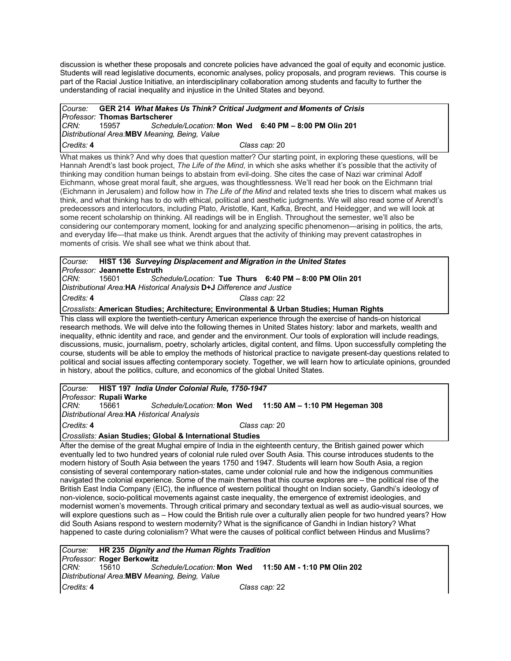discussion is whether these proposals and concrete policies have advanced the goal of equity and economic justice. Students will read legislative documents, economic analyses, policy proposals, and program reviews. This course is part of the Racial Justice Initiative, an interdisciplinary collaboration among students and faculty to further the understanding of racial inequality and injustice in the United States and beyond.

#### *Course:* **GER 214** *What Makes Us Think? Critical Judgment and Moments of Crisis Professor:* **Thomas Bartscherer** *CRN:* 15957 *Schedule/Location:* **Mon Wed 6:40 PM – 8:00 PM Olin 201** *Distributional Area:***MBV** *Meaning, Being, Value Credits:* **4** *Class cap:* 20

What makes us think? And why does that question matter? Our starting point, in exploring these questions, will be Hannah Arendt's last book project, *The Life of the Mind*, in which she asks whether it's possible that the activity of thinking may condition human beings to abstain from evil-doing. She cites the case of Nazi war criminal Adolf Eichmann, whose great moral fault, she argues, was thoughtlessness. We'll read her book on the Eichmann trial (Eichmann in Jerusalem) and follow how in *The Life of the Mind* and related texts she tries to discern what makes us think, and what thinking has to do with ethical, political and aesthetic judgments. We will also read some of Arendt's predecessors and interlocutors, including Plato, Aristotle, Kant, Kafka, Brecht, and Heidegger, and we will look at some recent scholarship on thinking. All readings will be in English. Throughout the semester, we'll also be considering our contemporary moment, looking for and analyzing specific phenomenon—arising in politics, the arts, and everyday life—that make us think. Arendt argues that the activity of thinking may prevent catastrophes in moments of crisis. We shall see what we think about that.

### *Course:* **HIST 136** *Surveying Displacement and Migration in the United States Professor:* **Jeannette Estruth**

*CRN:* 15601 *Schedule/Location:* **Tue Thurs 6:40 PM – 8:00 PM Olin 201** *Distributional Area:***HA** *Historical Analysis* **D+J** *Difference and Justice*

*Credits:* **4** *Class cap:* 22

*Crosslists:* **American Studies; Architecture; Environmental & Urban Studies; Human Rights**

This class will explore the twentieth-century American experience through the exercise of hands-on historical research methods. We will delve into the following themes in United States history: labor and markets, wealth and inequality, ethnic identity and race, and gender and the environment. Our tools of exploration will include readings, discussions, music, journalism, poetry, scholarly articles, digital content, and films. Upon successfully completing the course, students will be able to employ the methods of historical practice to navigate present-day questions related to political and social issues affecting contemporary society. Together, we will learn how to articulate opinions, grounded in history, about the politics, culture, and economics of the global United States.

*Course:* **HIST 197** *India Under Colonial Rule, 1750-1947*

*Professor:* **Rupali Warke** *CRN:* 15661 *Schedule/Location:* **Mon Wed 11:50 AM – 1:10 PM Hegeman 308** *Distributional Area:***HA** *Historical Analysis Credits:* **4** *Class cap:* 20

### *Crosslists:* **Asian Studies; Global & International Studies**

After the demise of the great Mughal empire of India in the eighteenth century, the British gained power which eventually led to two hundred years of colonial rule ruled over South Asia. This course introduces students to the modern history of South Asia between the years 1750 and 1947. Students will learn how South Asia, a region consisting of several contemporary nation-states, came under colonial rule and how the indigenous communities navigated the colonial experience. Some of the main themes that this course explores are – the political rise of the British East India Company (EIC), the influence of western political thought on Indian society, Gandhi's ideology of non-violence, socio-political movements against caste inequality, the emergence of extremist ideologies, and modernist women's movements. Through critical primary and secondary textual as well as audio-visual sources, we will explore questions such as – How could the British rule over a culturally alien people for two hundred years? How did South Asians respond to western modernity? What is the significance of Gandhi in Indian history? What happened to caste during colonialism? What were the causes of political conflict between Hindus and Muslims?

|            |                            | Course: HR 235 Dignity and the Human Rights Tradition |                                                        |
|------------|----------------------------|-------------------------------------------------------|--------------------------------------------------------|
|            | Professor: Roger Berkowitz |                                                       |                                                        |
| CRN:       | 15610 — 156                |                                                       | Schedule/Location: Mon Wed 11:50 AM - 1:10 PM Olin 202 |
|            |                            | Distributional Area.MBV Meaning, Being, Value         |                                                        |
| Credits: 4 |                            |                                                       | Class cap: 22                                          |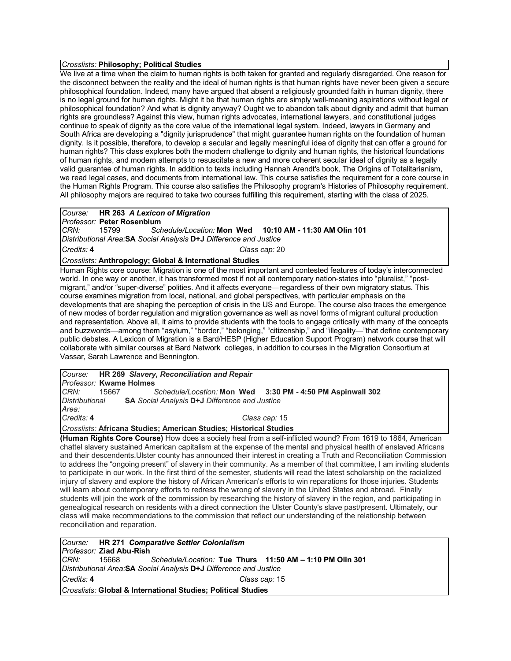### *Crosslists:* **Philosophy; Political Studies**

We live at a time when the claim to human rights is both taken for granted and regularly disregarded. One reason for the disconnect between the reality and the ideal of human rights is that human rights have never been given a secure philosophical foundation. Indeed, many have argued that absent a religiously grounded faith in human dignity, there is no legal ground for human rights. Might it be that human rights are simply well-meaning aspirations without legal or philosophical foundation? And what is dignity anyway? Ought we to abandon talk about dignity and admit that human rights are groundless? Against this view, human rights advocates, international lawyers, and constitutional judges continue to speak of dignity as the core value of the international legal system. Indeed, lawyers in Germany and South Africa are developing a "dignity jurisprudence" that might guarantee human rights on the foundation of human dignity. Is it possible, therefore, to develop a secular and legally meaningful idea of dignity that can offer a ground for human rights? This class explores both the modern challenge to dignity and human rights, the historical foundations of human rights, and modern attempts to resuscitate a new and more coherent secular ideal of dignity as a legally valid guarantee of human rights. In addition to texts including Hannah Arendt's book, The Origins of Totalitarianism, we read legal cases, and documents from international law. This course satisfies the requirement for a core course in the Human Rights Program. This course also satisfies the Philosophy program's Histories of Philosophy requirement. All philosophy majors are required to take two courses fulfilling this requirement, starting with the class of 2025.

# *Course:* **HR 263** *A Lexicon of Migration*

*Professor:* **Peter Rosenblum** *CRN:* 15799 *Schedule/Location:* **Mon Wed 10:10 AM - 11:30 AM Olin 101** *Distributional Area:***SA** *Social Analysis* **D+J** *Difference and Justice Credits:* **4** *Class cap:* 20

### *Crosslists:* **Anthropology; Global & International Studies**

Human Rights core course: Migration is one of the most important and contested features of today's interconnected world. In one way or another, it has transformed most if not all contemporary nation-states into "pluralist," "postmigrant," and/or "super-diverse" polities. And it affects everyone—regardless of their own migratory status. This course examines migration from local, national, and global perspectives, with particular emphasis on the developments that are shaping the perception of crisis in the US and Europe. The course also traces the emergence of new modes of border regulation and migration governance as well as novel forms of migrant cultural production and representation. Above all, it aims to provide students with the tools to engage critically with many of the concepts and buzzwords—among them "asylum," "border," "belonging," "citizenship," and "illegality—"that define contemporary public debates. A Lexicon of Migration is a Bard/HESP (Higher Education Support Program) network course that will collaborate with similar courses at Bard Network colleges, in addition to courses in the Migration Consortium at Vassar, Sarah Lawrence and Bennington.

|                                                                    | Course: HR 269 Slavery, Reconciliation and Repair                   |  |  |  |
|--------------------------------------------------------------------|---------------------------------------------------------------------|--|--|--|
|                                                                    | Professor: Kwame Holmes                                             |  |  |  |
| CRN:                                                               | Schedule/Location: Mon Wed 3:30 PM - 4:50 PM Aspinwall 302<br>15667 |  |  |  |
| Distributional                                                     | <b>SA</b> Social Analysis <b>D+J</b> Difference and Justice         |  |  |  |
| Area:                                                              |                                                                     |  |  |  |
| Credits: 4                                                         | Class cap: 15                                                       |  |  |  |
| Crosslists: Africana Studies; American Studies; Historical Studies |                                                                     |  |  |  |

**(Human Rights Core Course)** How does a society heal from a self-inflicted wound? From 1619 to 1864, American chattel slavery sustained American capitalism at the expense of the mental and physical health of enslaved Africans and their descendents.Ulster county has announced their interest in creating a Truth and Reconciliation Commission to address the "ongoing present" of slavery in their community. As a member of that committee, I am inviting students to participate in our work. In the first third of the semester, students will read the latest scholarship on the racialized injury of slavery and explore the history of African American's efforts to win reparations for those injuries. Students will learn about contemporary efforts to redress the wrong of slavery in the United States and abroad. Finally students will join the work of the commission by researching the history of slavery in the region, and participating in genealogical research on residents with a direct connection the Ulster County's slave past/present. Ultimately, our class will make recommendations to the commission that reflect our understanding of the relationship between reconciliation and reparation.

|                                                               |                                                                    | Course: HR 271 Comparative Settler Colonialism |  |  |  |  |
|---------------------------------------------------------------|--------------------------------------------------------------------|------------------------------------------------|--|--|--|--|
|                                                               | <i>Professor: Ziad Abu-Rish</i>                                    |                                                |  |  |  |  |
| CRN:                                                          | 15668 Schedule/Location: Tue Thurs 11:50 AM - 1:10 PM Olin 301     |                                                |  |  |  |  |
|                                                               | Distributional Area. SA Social Analysis D+J Difference and Justice |                                                |  |  |  |  |
| Credits: 4<br>Class cap: 15                                   |                                                                    |                                                |  |  |  |  |
| Crosslists: Global & International Studies; Political Studies |                                                                    |                                                |  |  |  |  |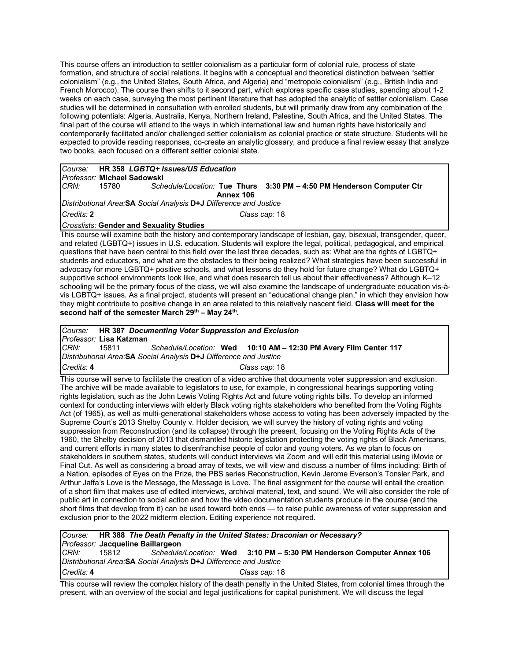This course offers an introduction to settler colonialism as a particular form of colonial rule, process of state formation, and structure of social relations. It begins with a conceptual and theoretical distinction between "settler colonialism" (e.g., the United States, South Africa, and Algeria) and "metropole colonialism" (e.g., British India and French Morocco). The course then shifts to it second part, which explores specific case studies, spending about 1-2 weeks on each case, surveying the most pertinent literature that has adopted the analytic of settler colonialism. Case studies will be determined in consultation with enrolled students, but will primarily draw from any combination of the following potentials: Algeria, Australia, Kenya, Northern Ireland, Palestine, South Africa, and the United States. The final part of the course will attend to the ways in which international law and human rights have historically and contemporarily facilitated and/or challenged settler colonialism as colonial practice or state structure. Students will be expected to provide reading responses, co-create an analytic glossary, and produce a final review essay that analyze two books, each focused on a different settler colonial state.

|                                                                    |       | Course: HR 358 LGBTQ+ Issues/US Education                             |  |  |  |  |
|--------------------------------------------------------------------|-------|-----------------------------------------------------------------------|--|--|--|--|
| Professor: Michael Sadowski                                        |       |                                                                       |  |  |  |  |
| ICRN:                                                              | 15780 | Schedule/Location: Tue Thurs 3:30 PM - 4:50 PM Henderson Computer Ctr |  |  |  |  |
|                                                                    |       | Annex 106                                                             |  |  |  |  |
| Distributional Area. SA Social Analysis D+J Difference and Justice |       |                                                                       |  |  |  |  |
| Credits: 2<br>Class cap: 18                                        |       |                                                                       |  |  |  |  |
| <b>Crosslists: Gender and Sexuality Studies</b>                    |       |                                                                       |  |  |  |  |

This course will examine both the history and contemporary landscape of lesbian, gay, bisexual, transgender, queer, and related (LGBTQ+) issues in U.S. education. Students will explore the legal, political, pedagogical, and empirical questions that have been central to this field over the last three decades, such as: What are the rights of LGBTQ+ students and educators, and what are the obstacles to their being realized? What strategies have been successful in advocacy for more LGBTQ+ positive schools, and what lessons do they hold for future change? What do LGBTQ+ supportive school environments look like, and what does research tell us about their effectiveness? Although K–12 schooling will be the primary focus of the class, we will also examine the landscape of undergraduate education vis-àvis LGBTQ+ issues. As a final project, students will present an "educational change plan," in which they envision how they might contribute to positive change in an area related to this relatively nascent field. **Class will meet for the second half of the semester March 29th – May 24th.**

|                                                                    | Course: HR 387 Documenting Voter Suppression and Exclusion |                                                                  |  |  |  |  |
|--------------------------------------------------------------------|------------------------------------------------------------|------------------------------------------------------------------|--|--|--|--|
|                                                                    | Professor: Lisa Katzman                                    |                                                                  |  |  |  |  |
| CRN:                                                               | 15811                                                      | Schedule/Location: Wed 10:10 AM - 12:30 PM Avery Film Center 117 |  |  |  |  |
| Distributional Area. SA Social Analysis D+J Difference and Justice |                                                            |                                                                  |  |  |  |  |
| Credits: 4                                                         |                                                            | Class cap: 18                                                    |  |  |  |  |

This course will serve to facilitate the creation of a video archive that documents voter suppression and exclusion. The archive will be made available to legislators to use, for example, in congressional hearings supporting voting rights legislation, such as the John Lewis Voting Rights Act and future voting rights bills. To develop an informed context for conducting interviews with elderly Black voting rights stakeholders who benefited from the Voting Rights Act (of 1965), as well as multi-generational stakeholders whose access to voting has been adversely impacted by the Supreme Court's 2013 Shelby County v. Holder decision, we will survey the history of voting rights and voting suppression from Reconstruction (and its collapse) through the present, focusing on the Voting Rights Acts of the 1960, the Shelby decision of 2013 that dismantled historic legislation protecting the voting rights of Black Americans, and current efforts in many states to disenfranchise people of color and young voters. As we plan to focus on stakeholders in southern states, students will conduct interviews via Zoom and will edit this material using iMovie or Final Cut. As well as considering a broad array of texts, we will view and discuss a number of films including: Birth of a Nation, episodes of Eyes on the Prize, the PBS series Reconstruction, Kevin Jerome Everson's Tonsler Park, and Arthur Jaffa's Love is the Message, the Message is Love. The final assignment for the course will entail the creation of a short film that makes use of edited interviews, archival material, text, and sound. We will also consider the role of public art in connection to social action and how the video documentation students produce in the course (and the short films that develop from it) can be used toward both ends — to raise public awareness of voter suppression and exclusion prior to the 2022 midterm election. Editing experience not required.

*Course:* **HR 388** *The Death Penalty in the United States: Draconian or Necessary? Professor:* **Jacqueline Baillargeon** *CRN:* 15812 *Schedule/Location:* **Wed 3:10 PM – 5:30 PM Henderson Computer Annex 106** *Distributional Area:***SA** *Social Analysis* **D+J** *Difference and Justice Credits:* **4** *Class cap:* 18

This course will review the complex history of the death penalty in the United States, from colonial times through the present, with an overview of the social and legal justifications for capital punishment. We will discuss the legal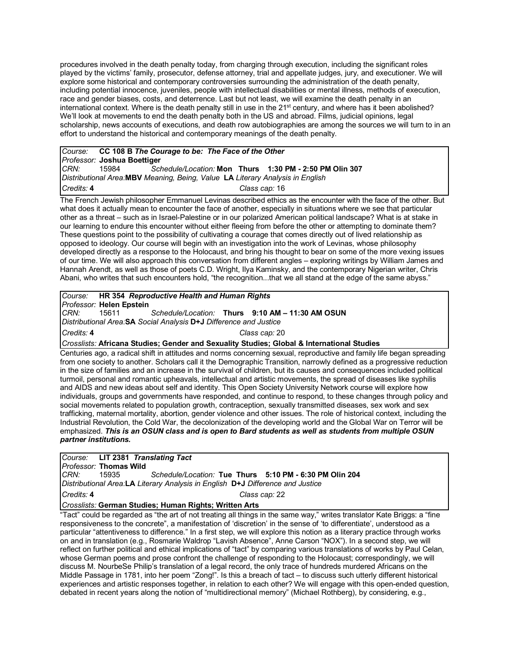procedures involved in the death penalty today, from charging through execution, including the significant roles played by the victims' family, prosecutor, defense attorney, trial and appellate judges, jury, and executioner. We will explore some historical and contemporary controversies surrounding the administration of the death penalty, including potential innocence, juveniles, people with intellectual disabilities or mental illness, methods of execution, race and gender biases, costs, and deterrence. Last but not least, we will examine the death penalty in an international context. Where is the death penalty still in use in the  $21<sup>st</sup>$  century, and where has it been abolished? We'll look at movements to end the death penalty both in the US and abroad. Films, judicial opinions, legal scholarship, news accounts of executions, and death row autobiographies are among the sources we will turn to in an effort to understand the historical and contemporary meanings of the death penalty.

### *Course:* **CC 108 B** *The Courage to be: The Face of the Other Professor:* **Joshua Boettiger** *CRN:* 15984 *Schedule/Location:* **Mon Thurs 1:30 PM - 2:50 PM Olin 307** *Distributional Area:***MBV** *Meaning, Being, Value* **LA** *Literary Analysis in English Credits:* **4** *Class cap:* 16

The French Jewish philosopher Emmanuel Levinas described ethics as the encounter with the face of the other. But what does it actually mean to encounter the face of another, especially in situations where we see that particular other as a threat – such as in Israel-Palestine or in our polarized American political landscape? What is at stake in our learning to endure this encounter without either fleeing from before the other or attempting to dominate them? These questions point to the possibility of cultivating a courage that comes directly out of lived relationship as opposed to ideology. Our course will begin with an investigation into the work of Levinas, whose philosophy developed directly as a response to the Holocaust, and bring his thought to bear on some of the more vexing issues of our time. We will also approach this conversation from different angles – exploring writings by William James and Hannah Arendt, as well as those of poets C.D. Wright, Ilya Kaminsky, and the contemporary Nigerian writer, Chris Abani, who writes that such encounters hold, "the recognition...that we all stand at the edge of the same abyss."

*Course:* **HR 354** *Reproductive Health and Human Rights Professor:* **Helen Epstein** *CRN:* 15611 *Schedule/Location:* **Thurs 9:10 AM – 11:30 AM OSUN** *Distributional Area:***SA** *Social Analysis* **D+J** *Difference and Justice Credits:* **4** *Class cap:* 20 *Crosslists:* **Africana Studies; Gender and Sexuality Studies; Global & International Studies**

Centuries ago, a radical shift in attitudes and norms concerning sexual, reproductive and family life began spreading from one society to another. Scholars call it the Demographic Transition, narrowly defined as a progressive reduction in the size of families and an increase in the survival of children, but its causes and consequences included political

turmoil, personal and romantic upheavals, intellectual and artistic movements, the spread of diseases like syphilis and AIDS and new ideas about self and identity. This Open Society University Network course will explore how individuals, groups and governments have responded, and continue to respond, to these changes through policy and social movements related to population growth, contraception, sexually transmitted diseases, sex work and sex trafficking, maternal mortality, abortion, gender violence and other issues. The role of historical context, including the Industrial Revolution, the Cold War, the decolonization of the developing world and the Global War on Terror will be emphasized. *This is an OSUN class and is open to Bard students as well as students from multiple OSUN partner institutions.*

# *Course:* **LIT 2381** *Translating Tact*

*Professor:* **Thomas Wild** *CRN:* 15935 *Schedule/Location:* **Tue Thurs 5:10 PM - 6:30 PM Olin 204** *Distributional Area:***LA** *Literary Analysis in English* **D+J** *Difference and Justice*

*Credits:* **4** *Class cap:* 22

### *Crosslists:* **German Studies; Human Rights; Written Arts**

"Tact" could be regarded as "the art of not treating all things in the same way," writes translator Kate Briggs: a "fine responsiveness to the concrete", a manifestation of 'discretion' in the sense of 'to differentiate', understood as a particular "attentiveness to difference." In a first step, we will explore this notion as a literary practice through works on and in translation (e.g., Rosmarie Waldrop "Lavish Absence", Anne Carson "NOX"). In a second step, we will reflect on further political and ethical implications of "tact" by comparing various translations of works by Paul Celan, whose German poems and prose confront the challenge of responding to the Holocaust; correspondingly, we will discuss M. NourbeSe Philip's translation of a legal record, the only trace of hundreds murdered Africans on the Middle Passage in 1781, into her poem "Zong!". Is this a breach of tact – to discuss such utterly different historical experiences and artistic responses together, in relation to each other? We will engage with this open-ended question, debated in recent years along the notion of "multidirectional memory" (Michael Rothberg), by considering, e.g.,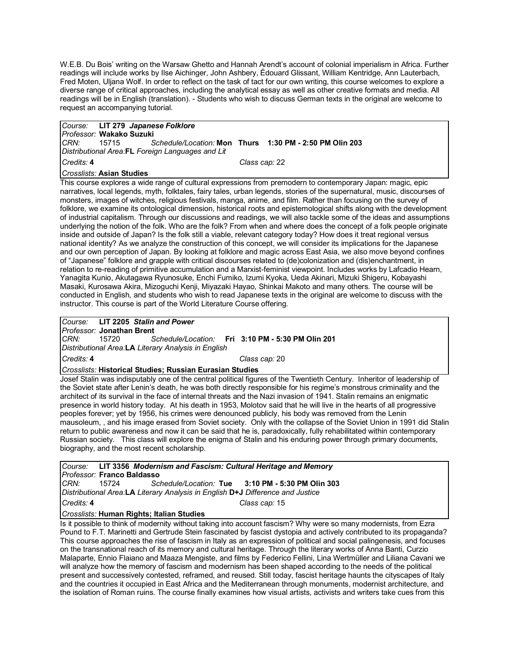W.E.B. Du Bois' writing on the Warsaw Ghetto and Hannah Arendt's account of colonial imperialism in Africa. Further readings will include works by Ilse Aichinger, John Ashbery, Édouard Glissant, William Kentridge, Ann Lauterbach, Fred Moten, Uljana Wolf. In order to reflect on the task of tact for our own writing, this course welcomes to explore a diverse range of critical approaches, including the analytical essay as well as other creative formats and media. All readings will be in English (translation). - Students who wish to discuss German texts in the original are welcome to request an accompanying tutorial.

|                                                  |  | Course: LIT 279 Japanese Folklore                             |  |  |  |
|--------------------------------------------------|--|---------------------------------------------------------------|--|--|--|
| Professor: Wakako Suzuki                         |  |                                                               |  |  |  |
| CRN:                                             |  | 15715 Schedule/Location: Mon Thurs 1:30 PM - 2:50 PM Olin 203 |  |  |  |
| Distributional Area.FL Foreign Languages and Lit |  |                                                               |  |  |  |
| Credits: 4<br>Class cap: 22                      |  |                                                               |  |  |  |
| <i><b>Crosslists: Asian Studies</b></i>          |  |                                                               |  |  |  |

This course explores a wide range of cultural expressions from premodern to contemporary Japan: magic, epic narratives, local legends, myth, folktales, fairy tales, urban legends, stories of the supernatural, music, discourses of monsters, images of witches, religious festivals, manga, anime, and film. Rather than focusing on the survey of folklore, we examine its ontological dimension, historical roots and epistemological shifts along with the development of industrial capitalism. Through our discussions and readings, we will also tackle some of the ideas and assumptions underlying the notion of the folk. Who are the folk? From when and where does the concept of a folk people originate inside and outside of Japan? Is the folk still a viable, relevant category today? How does it treat regional versus national identity? As we analyze the construction of this concept, we will consider its implications for the Japanese and our own perception of Japan. By looking at folklore and magic across East Asia, we also move beyond confines of "Japanese" folklore and grapple with critical discourses related to (de)colonization and (dis)enchantment, in relation to re-reading of primitive accumulation and a Marxist-feminist viewpoint. Includes works by Lafcadio Hearn, Yanagita Kunio, Akutagawa Ryunosuke, Enchi Fumiko, Izumi Kyoka, Ueda Akinari, Mizuki Shigeru, Kobayashi Masaki, Kurosawa Akira, Mizoguchi Kenji, Miyazaki Hayao, Shinkai Makoto and many others. The course will be conducted in English, and students who wish to read Japanese texts in the original are welcome to discuss with the instructor. This course is part of the World Literature Course offering.

*Course:* **LIT 2205** *Stalin and Power*

*Professor:* **Jonathan Brent**

*CRN:* 15720 *Schedule/Location:* **Fri 3:10 PM - 5:30 PM Olin 201** *Distributional Area:***LA** *Literary Analysis in English*

*Credits:* **4** *Class cap:* 20

### *Crosslists:* **Historical Studies; Russian Eurasian Studies**

Josef Stalin was indisputably one of the central political figures of the Twentieth Century. Inheritor of leadership of the Soviet state after Lenin's death, he was both directly responsible for his regime's monstrous criminality and the architect of its survival in the face of internal threats and the Nazi invasion of 1941. Stalin remains an enigmatic presence in world history today. At his death in 1953, Molotov said that he will live in the hearts of all progressive peoples forever; yet by 1956, his crimes were denounced publicly, his body was removed from the Lenin mausoleum, , and his image erased from Soviet society. Only with the collapse of the Soviet Union in 1991 did Stalin return to public awareness and now it can be said that he is, paradoxically, fully rehabilitated within contemporary Russian society. This class will explore the enigma of Stalin and his enduring power through primary documents, biography, and the most recent scholarship.

|                                                                                |                                   | Course: LIT 3356 Modernism and Fascism: Cultural Heritage and Memory |               |  |  |
|--------------------------------------------------------------------------------|-----------------------------------|----------------------------------------------------------------------|---------------|--|--|
|                                                                                | <i>Professor:</i> Franco Baldasso |                                                                      |               |  |  |
|                                                                                |                                   |                                                                      |               |  |  |
| Distributional Area.LA Literary Analysis in English D+J Difference and Justice |                                   |                                                                      |               |  |  |
| Credits: 4                                                                     |                                   |                                                                      | Class cap: 15 |  |  |

### *Crosslists:* **Human Rights; Italian Studies**

Is it possible to think of modernity without taking into account fascism? Why were so many modernists, from Ezra Pound to F.T. Marinetti and Gertrude Stein fascinated by fascist dystopia and actively contributed to its propaganda? This course approaches the rise of fascism in Italy as an expression of political and social palingenesis, and focuses on the transnational reach of its memory and cultural heritage. Through the literary works of Anna Banti, Curzio Malaparte, Ennio Flaiano and Maaza Mengiste, and films by Federico Fellini, Lina Wertmüller and Liliana Cavani we will analyze how the memory of fascism and modernism has been shaped according to the needs of the political present and successively contested, reframed, and reused. Still today, fascist heritage haunts the cityscapes of Italy and the countries it occupied in East Africa and the Mediterranean through monuments, modernist architecture, and the isolation of Roman ruins. The course finally examines how visual artists, activists and writers take cues from this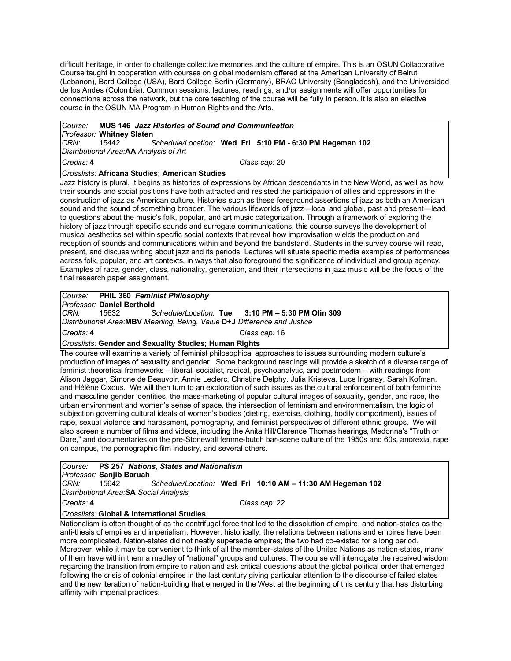difficult heritage, in order to challenge collective memories and the culture of empire. This is an OSUN Collaborative Course taught in cooperation with courses on global modernism offered at the American University of Beirut (Lebanon), Bard College (USA), Bard College Berlin (Germany), BRAC University (Bangladesh), and the Universidad de los Andes (Colombia). Common sessions, lectures, readings, and/or assignments will offer opportunities for connections across the network, but the core teaching of the course will be fully in person. It is also an elective course in the OSUN MA Program in Human Rights and the Arts.

# *Course:* **MUS 146** *Jazz Histories of Sound and Communication*

*Professor:* **Whitney Slaten**

*CRN:* 15442 *Schedule/Location:* **Wed Fri 5:10 PM - 6:30 PM Hegeman 102** *Distributional Area:***AA** *Analysis of Art*

*Credits:* **4** *Class cap:* 20

### *Crosslists:* **Africana Studies; American Studies**

Jazz history is plural. It begins as histories of expressions by African descendants in the New World, as well as how their sounds and social positions have both attracted and resisted the participation of allies and oppressors in the construction of jazz as American culture. Histories such as these foreground assertions of jazz as both an American sound and the sound of something broader. The various lifeworlds of jazz—local and global, past and present—lead to questions about the music's folk, popular, and art music categorization. Through a framework of exploring the history of jazz through specific sounds and surrogate communications, this course surveys the development of musical aesthetics set within specific social contexts that reveal how improvisation wields the production and reception of sounds and communications within and beyond the bandstand. Students in the survey course will read, present, and discuss writing about jazz and its periods. Lectures will situate specific media examples of performances across folk, popular, and art contexts, in ways that also foreground the significance of individual and group agency. Examples of race, gender, class, nationality, generation, and their intersections in jazz music will be the focus of the final research paper assignment.

*Course:* **PHIL 360** *Feminist Philosophy Professor:* **Daniel Berthold** *CRN:* 15632 *Schedule/Location:* **Tue 3:10 PM – 5:30 PM Olin 309** *Distributional Area:***MBV** *Meaning, Being, Value* **D+J** *Difference and Justice Credits:* **4** *Class cap:* 16

*Crosslists:* **Gender and Sexuality Studies; Human Rights**

The course will examine a variety of feminist philosophical approaches to issues surrounding modern culture's production of images of sexuality and gender. Some background readings will provide a sketch of a diverse range of feminist theoretical frameworks – liberal, socialist, radical, psychoanalytic, and postmodern – with readings from Alison Jaggar, Simone de Beauvoir, Annie Leclerc, Christine Delphy, Julia Kristeva, Luce Irigaray, Sarah Kofman, and Hélène Cixous. We will then turn to an exploration of such issues as the cultural enforcement of both feminine and masculine gender identities, the mass-marketing of popular cultural images of sexuality, gender, and race, the urban environment and women's sense of space, the intersection of feminism and environmentalism, the logic of subjection governing cultural ideals of women's bodies (dieting, exercise, clothing, bodily comportment), issues of rape, sexual violence and harassment, pornography, and feminist perspectives of different ethnic groups. We will also screen a number of films and videos, including the Anita Hill/Clarence Thomas hearings, Madonna's "Truth or Dare," and documentaries on the pre-Stonewall femme-butch bar-scene culture of the 1950s and 60s, anorexia, rape on campus, the pornographic film industry, and several others.

*Course:* **PS 257** *Nations, States and Nationalism Professor:* **Sanjib Baruah** *CRN:* 15642 *Schedule/Location:* **Wed Fri 10:10 AM – 11:30 AM Hegeman 102** *Distributional Area:***SA** *Social Analysis Credits:* **4** *Class cap:* 22

*Crosslists:* **Global & International Studies**

Nationalism is often thought of as the centrifugal force that led to the dissolution of empire, and nation-states as the anti-thesis of empires and imperialism. However, historically, the relations between nations and empires have been more complicated. Nation-states did not neatly supersede empires; the two had co-existed for a long period. Moreover, while it may be convenient to think of all the member-states of the United Nations as nation-states, many of them have within them a medley of "national" groups and cultures. The course will interrogate the received wisdom regarding the transition from empire to nation and ask critical questions about the global political order that emerged following the crisis of colonial empires in the last century giving particular attention to the discourse of failed states and the new iteration of nation-building that emerged in the West at the beginning of this century that has disturbing affinity with imperial practices.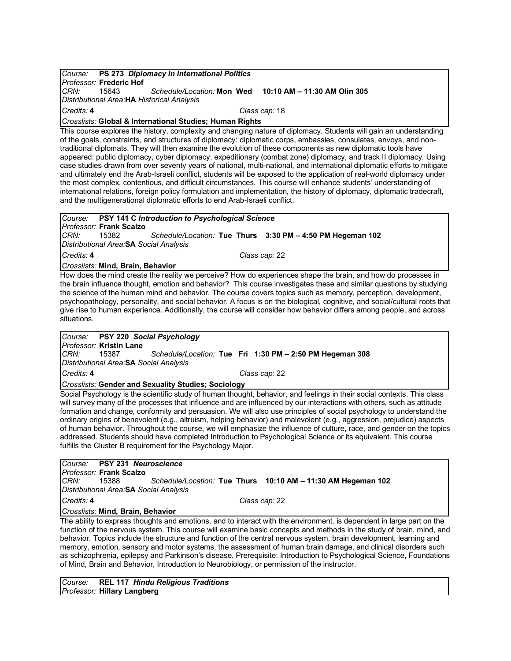### *Course:* **PS 273** *Diplomacy in International Politics Professor:* **Frederic Hof** *CRN:* 15643 *Schedule/Location:* **Mon Wed 10:10 AM – 11:30 AM Olin 305** *Distributional Area:***HA** *Historical Analysis Credits:* **4** *Class cap:* 18 *Crosslists:* **Global & International Studies; Human Rights**

This course explores the history, complexity and changing nature of diplomacy. Students will gain an understanding of the goals, constraints, and structures of diplomacy: diplomatic corps, embassies, consulates, envoys, and nontraditional diplomats. They will then examine the evolution of these components as new diplomatic tools have appeared: public diplomacy, cyber diplomacy; expeditionary (combat zone) diplomacy, and track II diplomacy. Using case studies drawn from over seventy years of national, multi-national, and international diplomatic efforts to mitigate and ultimately end the Arab-Israeli conflict, students will be exposed to the application of real-world diplomacy under the most complex, contentious, and difficult circumstances. This course will enhance students' understanding of international relations, foreign policy formulation and implementation, the history of diplomacy, diplomatic tradecraft, and the multigenerational diplomatic efforts to end Arab-Israeli conflict.

# *Course:* **PSY 141 C** *Introduction to Psychological Science Professor:* **Frank Scalzo**

*CRN:* 15382 *Schedule/Location:* **Tue Thurs 3:30 PM – 4:50 PM Hegeman 102** *Distributional Area:***SA** *Social Analysis*

*Credits:* **4** *Class cap:* 22

*Crosslists:* **Mind, Brain, Behavior**

How does the mind create the reality we perceive? How do experiences shape the brain, and how do processes in the brain influence thought, emotion and behavior? This course investigates these and similar questions by studying the science of the human mind and behavior. The course covers topics such as memory, perception, development, psychopathology, personality, and social behavior. A focus is on the biological, cognitive, and social/cultural roots that give rise to human experience. Additionally, the course will consider how behavior differs among people, and across situations.

## *Course:* **PSY 220** *Social Psychology*

*Professor:* **Kristin Lane**

*CRN:* 15387 *Schedule/Location:* **Tue Fri 1:30 PM – 2:50 PM Hegeman 308** *Distributional Area:***SA** *Social Analysis*

*Credits:* **4** *Class cap:* 22

### *Crosslists:* **Gender and Sexuality Studies; Sociology**

Social Psychology is the scientific study of human thought, behavior, and feelings in their social contexts. This class will survey many of the processes that influence and are influenced by our interactions with others, such as attitude formation and change, conformity and persuasion. We will also use principles of social psychology to understand the ordinary origins of benevolent (e.g., altruism, helping behavior) and malevolent (e.g., aggression, prejudice) aspects of human behavior. Throughout the course, we will emphasize the influence of culture, race, and gender on the topics addressed. Students should have completed Introduction to Psychological Science or its equivalent. This course fulfills the Cluster B requirement for the Psychology Major.

*Course:* **PSY 231** *Neuroscience Professor:* **Frank Scalzo** *CRN:* 15388 *Schedule/Location:* **Tue Thurs 10:10 AM – 11:30 AM Hegeman 102** *Distributional Area:***SA** *Social Analysis Credits:* **4** *Class cap:* 22 *Crosslists:* **Mind, Brain, Behavior**

The ability to express thoughts and emotions, and to interact with the environment, is dependent in large part on the function of the nervous system. This course will examine basic concepts and methods in the study of brain, mind, and behavior. Topics include the structure and function of the central nervous system, brain development, learning and memory, emotion, sensory and motor systems, the assessment of human brain damage, and clinical disorders such as schizophrenia, epilepsy and Parkinson's disease. Prerequisite: Introduction to Psychological Science, Foundations of Mind, Brain and Behavior, Introduction to Neurobiology, or permission of the instructor.

*Course:* **REL 117** *Hindu Religious Traditions Professor:* **Hillary Langberg**